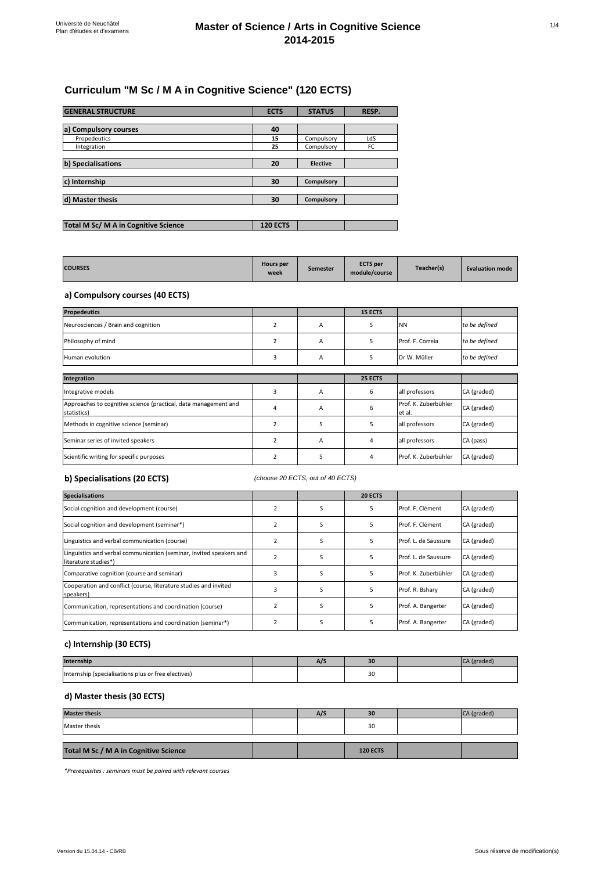# **Curriculum "M Sc / M A in Cognitive Science" (120 ECTS)**

| <b>GENERAL STRUCTURE</b>             | <b>ECTS</b>     | <b>STATUS</b>   | RESP. |
|--------------------------------------|-----------------|-----------------|-------|
|                                      |                 |                 |       |
| a) Compulsory courses                | 40              |                 |       |
| Propedeutics                         | 15              | Compulsory      | LdS   |
| Integration                          | 25              | Compulsory      | FC    |
|                                      |                 |                 |       |
| b) Specialisations                   | 20              | <b>Elective</b> |       |
|                                      |                 |                 |       |
| c) Internship                        | 30              | Compulsory      |       |
|                                      |                 |                 |       |
| d) Master thesis                     | 30              | Compulsory      |       |
|                                      |                 |                 |       |
|                                      |                 |                 |       |
| Total M Sc/ M A in Cognitive Science | <b>120 ECTS</b> |                 |       |

| <b>COURSES</b> | <b>Hours per</b><br>week | Semester | <b>ECTS</b> per<br>module/course | Teacher(s) | <b>Evaluation mode</b> |
|----------------|--------------------------|----------|----------------------------------|------------|------------------------|
|----------------|--------------------------|----------|----------------------------------|------------|------------------------|

## **a) Compulsory courses (40 ECTS)**

| <b>Propedeutics</b>                                                            |                |   | <b>15 ECTS</b> |                                |               |
|--------------------------------------------------------------------------------|----------------|---|----------------|--------------------------------|---------------|
| Neurosciences / Brain and cognition                                            | $\overline{2}$ | A | 5              | <b>NN</b>                      | to be defined |
| Philosophy of mind                                                             | $\overline{2}$ | A | 5              | Prof. F. Correia               | to be defined |
| Human evolution                                                                | 3              | A | 5              | Dr W. Müller                   | to be defined |
|                                                                                |                |   |                |                                |               |
| Integration                                                                    |                |   | 25 ECTS        |                                |               |
| Integrative models                                                             | 3              | A | 6              | all professors                 | CA (graded)   |
| Approaches to cognitive science (practical, data management and<br>statistics) | 4              | A | 6              | Prof. K. Zuberbühler<br>et al. | CA (graded)   |
| Methods in cognitive science (seminar)                                         | $\overline{2}$ | S | 5              | all professors                 | CA (graded)   |
| Seminar series of invited speakers                                             | $\overline{2}$ | A | 4              | all professors                 | CA (pass)     |
| Scientific writing for specific purposes                                       | $\overline{2}$ | S | 4              | Prof. K. Zuberbühler           | CA (graded)   |

### **b) Specialisations (20 ECTS)**

#### *(choose 20 ECTS, out of 40 ECTS)*

| <b>Specialisations</b>                                                                      |                |   | 20 ECTS |                      |             |
|---------------------------------------------------------------------------------------------|----------------|---|---------|----------------------|-------------|
| Social cognition and development (course)                                                   |                | S | 5       | Prof. F. Clément     | CA (graded) |
| Social cognition and development (seminar*)                                                 |                | S | 5       | Prof. F. Clément     | CA (graded) |
| Linguistics and verbal communication (course)                                               |                | ς | 5       | Prof. L. de Saussure | CA (graded) |
| Linguistics and verbal communication (seminar, invited speakers and<br>literature studies*) | $\overline{2}$ | S | 5       | Prof. L. de Saussure | CA (graded) |
| Comparative cognition (course and seminar)                                                  | 3              | S | 5       | Prof. K. Zuberbühler | CA (graded) |
| Cooperation and conflict (course, literature studies and invited<br>speakers)               | 3              | S | 5       | Prof. R. Bshary      | CA (graded) |
| Communication, representations and coordination (course)                                    |                | S | 5       | Prof. A. Bangerter   | CA (graded) |
| Communication, representations and coordination (seminar*)                                  |                | S | 5       | Prof. A. Bangerter   | CA (graded) |

## **c) Internship (30 ECTS)**

| <b>Internship</b>                                   | - 7 | $\sim$         |  |
|-----------------------------------------------------|-----|----------------|--|
| Internship (specialisations plus or free electives) |     | 3 <sup>c</sup> |  |

## **d) Master thesis (30 ECTS)**

| <b>Master thesis</b>                  | A/S | 30              | CA (graded) |
|---------------------------------------|-----|-----------------|-------------|
| Master thesis                         |     | 30              |             |
|                                       |     |                 |             |
| Total M Sc / M A in Cognitive Science |     | <b>120 ECTS</b> |             |

*\*Prerequisites : seminars must be paired with relevant courses*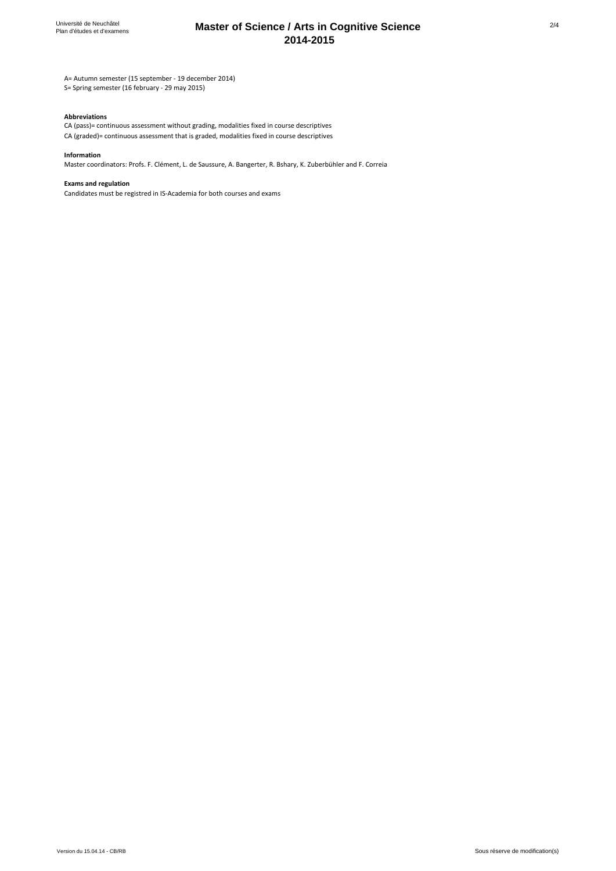## **Master of Science / Arts in Cognitive Science 2014-2015**

A= Autumn semester (15 september - 19 december 2014)

S= Spring semester (16 february - 29 may 2015)

#### **Abbreviations**

CA (graded)= continuous assessment that is graded, modalities fixed in course descriptives CA (pass)= continuous assessment without grading, modalities fixed in course descriptives

#### **Information**

Master coordinators: Profs. F. Clément, L. de Saussure, A. Bangerter, R. Bshary, K. Zuberbühler and F. Correia

#### **Exams and regulation**

Candidates must be registred in IS-Academia for both courses and exams

2/4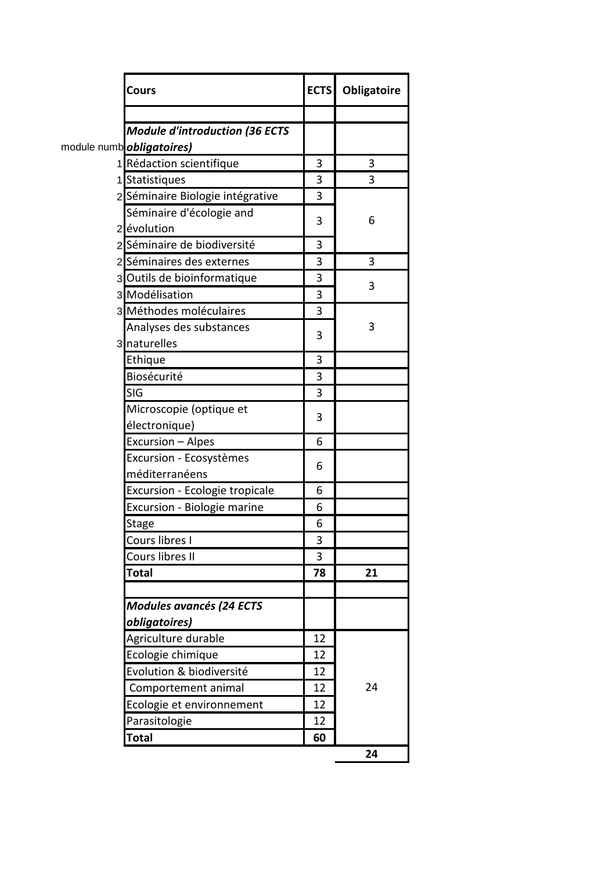| Cours                                 |    | <b>ECTS</b> Obligatoire |
|---------------------------------------|----|-------------------------|
|                                       |    |                         |
| <b>Module d'introduction (36 ECTS</b> |    |                         |
| module numb <i>obligatoires</i> )     |    |                         |
| 1 Rédaction scientifique              | 3  | 3                       |
| 1 Statistiques                        | 3  | 3                       |
| 2 Séminaire Biologie intégrative      | 3  |                         |
| Séminaire d'écologie and              | 3  | 6                       |
| 2 évolution                           |    |                         |
| 2 Séminaire de biodiversité           | 3  |                         |
| 2 Séminaires des externes             | 3  | 3                       |
| 3 Outils de bioinformatique           | 3  |                         |
| 3 Modélisation                        | 3  | 3                       |
| 3 Méthodes moléculaires               | 3  |                         |
| Analyses des substances               |    | 3                       |
| 3 naturelles                          | 3  |                         |
| Ethique                               | 3  |                         |
| Biosécurité                           | 3  |                         |
| SIG                                   | 3  |                         |
| Microscopie (optique et               |    |                         |
| électronique)                         | 3  |                         |
| Excursion - Alpes                     | 6  |                         |
| Excursion - Ecosystèmes               |    |                         |
| méditerranéens                        | 6  |                         |
| Excursion - Ecologie tropicale        | 6  |                         |
| Excursion - Biologie marine           | 6  |                         |
| Stage                                 | 6  |                         |
| Cours libres I                        | 3  |                         |
| Cours libres II                       | 3  |                         |
| <b>Total</b>                          | 78 | 21                      |
|                                       |    |                         |
| <b>Modules avancés (24 ECTS</b>       |    |                         |
| obligatoires)                         |    |                         |
| Agriculture durable                   | 12 |                         |
| Ecologie chimique                     | 12 |                         |
| Evolution & biodiversité              | 12 |                         |
| Comportement animal                   | 12 | 24                      |
| Ecologie et environnement             | 12 |                         |
| Parasitologie                         | 12 |                         |
| <b>Total</b>                          | 60 |                         |
|                                       |    | 24                      |